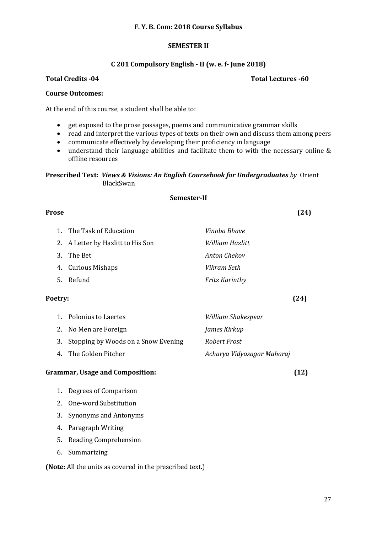# **F. Y. B. Com: 2018 Course Syllabus**

# **SEMESTER II**

### **C 201 Compulsory English - II (w. e. f- June 2018)**

**Total Credits -04 Total Lectures -60**

### **Course Outcomes:**

At the end of this course, a student shall be able to:

- get exposed to the prose passages, poems and communicative grammar skills
- read and interpret the various types of texts on their own and discuss them among peers
- communicate effectively by developing their proficiency in language
- understand their language abilities and facilitate them to with the necessary online & offline resources

**Prescribed Text:** *Views & Visions: An English Coursebook for Undergraduates by* Orient BlackSwan

# **Semester-II**

### **Prose (24)**

1. The Task of Education *Vinoba Bhave* 2. A Letter by Hazlitt to His Son *William Hazlitt* 3. The Bet *Anton Chekov* 4. Curious Mishaps *Vikram Seth* 5. Refund *Fritz Karinthy*

### **Poetry: (24)**

1. Polonius to Laertes *William Shakespear* 2. No Men are Foreign *James Kirkup* 3. Stopping by Woods on a Snow Evening *Robert Frost* 4. The Golden Pitcher *Acharya Vidyasagar Maharaj*

# **Grammar, Usage and Composition: (12)**

- 1. Degrees of Comparison
- 2. One-word Substitution
- 3. Synonyms and Antonyms
- 4. Paragraph Writing
- 5. Reading Comprehension
- 6. Summarizing

**(Note:** All the units as covered in the prescribed text.)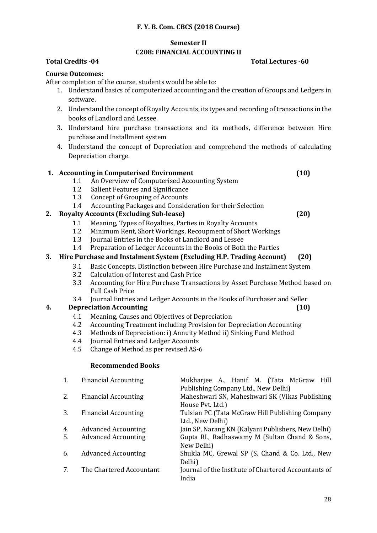# **F. Y. B. Com. CBCS (2018 Course)**

# **Semester II**

# **C208: FINANCIAL ACCOUNTING II**

# **Total Credits -04 Total Lectures -60**

# **Course Outcomes:**

After completion of the course, students would be able to:

- 1. Understand basics of computerized accounting and the creation of Groups and Ledgers in software.
- 2. Understand the concept of Royalty Accounts, its types and recording of transactions in the books of Landlord and Lessee.
- 3. Understand hire purchase transactions and its methods, difference between Hire purchase and Installment system
- 4. Understand the concept of Depreciation and comprehend the methods of calculating Depreciation charge.

# **1. Accounting in Computerised Environment (10)**

- 1.1 An Overview of Computerised Accounting System
- 1.2 Salient Features and Significance
- 1.3 Concept of Grouping of Accounts
- 1.4 Accounting Packages and Consideration for their Selection

# **2. Royalty Accounts (Excluding Sub-lease) (20)**

- 1.1 Meaning, Types of Royalties, Parties in Royalty Accounts
- 1.2 Minimum Rent, Short Workings, Recoupment of Short Workings
- 1.3 Journal Entries in the Books of Landlord and Lessee
- 1.4 Preparation of Ledger Accounts in the Books of Both the Parties

# **3. Hire Purchase and Instalment System (Excluding H.P. Trading Account) (20)**

- 3.1 Basic Concepts, Distinction between Hire Purchase and Instalment System
- 3.2 Calculation of Interest and Cash Price
- 3.3 Accounting for Hire Purchase Transactions by Asset Purchase Method based on Full Cash Price
- 3.4 Journal Entries and Ledger Accounts in the Books of Purchaser and Seller

# **4. Depreciation Accounting (10)**

- 4.1 Meaning, Causes and Objectives of Depreciation
- 4.2 Accounting Treatment including Provision for Depreciation Accounting
- 4.3 Methods of Depreciation: i) Annuity Method ii) Sinking Fund Method
- 4.4 Journal Entries and Ledger Accounts
- 4.5 Change of Method as per revised AS-6

# **Recommended Books**

| 1.       | <b>Financial Accounting</b>                              | Mukharjee A., Hanif M. (Tata McGraw Hill<br>Publishing Company Ltd., New Delhi)                                  |
|----------|----------------------------------------------------------|------------------------------------------------------------------------------------------------------------------|
| 2.       | <b>Financial Accounting</b>                              | Maheshwari SN, Maheshwari SK (Vikas Publishing<br>House Pvt. Ltd.)                                               |
| 3.       | <b>Financial Accounting</b>                              | Tulsian PC (Tata McGraw Hill Publishing Company<br>Ltd., New Delhi)                                              |
| 4.<br>5. | <b>Advanced Accounting</b><br><b>Advanced Accounting</b> | Jain SP, Narang KN (Kalyani Publishers, New Delhi)<br>Gupta RL, Radhaswamy M (Sultan Chand & Sons,<br>New Delhi) |
| 6.       | <b>Advanced Accounting</b>                               | Shukla MC, Grewal SP (S. Chand & Co. Ltd., New<br>Delhi)                                                         |
|          | The Chartered Accountant                                 | Journal of the Institute of Chartered Accountants of<br>India                                                    |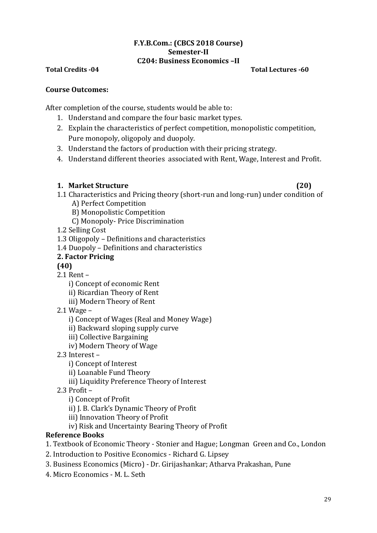# **F.Y.B.Com.: (CBCS 2018 Course) Semester-II C204: Business Economics –II**

# **Total Credits -04 Total Lectures -60**

# **Course Outcomes:**

After completion of the course, students would be able to:

- 1. Understand and compare the four basic market types.
- 2. Explain the characteristics of perfect competition, monopolistic competition, Pure monopoly, oligopoly and duopoly.
- 3. Understand the factors of production with their pricing strategy.
- 4. Understand different theories associated with Rent, Wage, Interest and Profit.

# **1. Market Structure (20)**

- 1.1 Characteristics and Pricing theory (short-run and long-run) under condition of A) Perfect Competition
	- B) Monopolistic Competition
	- C) Monopoly- Price Discrimination

1.2 Selling Cost

1.3 Oligopoly – Definitions and characteristics

1.4 Duopoly – Definitions and characteristics

# **2. Factor Pricing**

**(40)**

2.1 Rent –

i) Concept of economic Rent

- ii) Ricardian Theory of Rent
- iii) Modern Theory of Rent
- 2.1 Wage –

i) Concept of Wages (Real and Money Wage)

ii) Backward sloping supply curve

- iii) Collective Bargaining
- iv) Modern Theory of Wage
- 2.3 Interest –

i) Concept of Interest

ii) Loanable Fund Theory

iii) Liquidity Preference Theory of Interest

2.3 Profit –

i) Concept of Profit

ii) J. B. Clark's Dynamic Theory of Profit

iii) Innovation Theory of Profit

iv) Risk and Uncertainty Bearing Theory of Profit

# **Reference Books**

- 1. Textbook of Economic Theory Stonier and Hague; Longman Green and Co., London
- 2. Introduction to Positive Economics Richard G. Lipsey
- 3. Business Economics (Micro) Dr. Girijashankar; Atharva Prakashan, Pune
- 4. Micro Economics M. L. Seth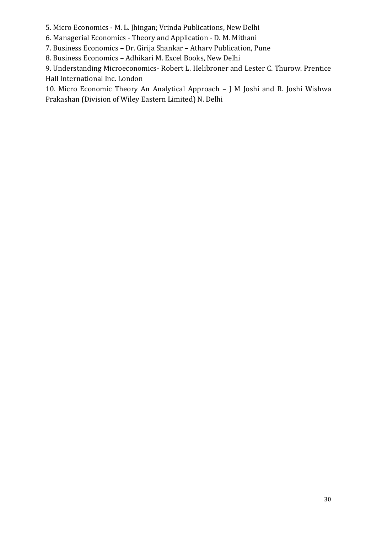5. Micro Economics - M. L. Jhingan; Vrinda Publications, New Delhi

6. Managerial Economics - Theory and Application - D. M. Mithani

7. Business Economics – Dr. Girija Shankar – Atharv Publication, Pune

8. Business Economics – Adhikari M. Excel Books, New Delhi

9. Understanding Microeconomics- Robert L. Helibroner and Lester C. Thurow. Prentice Hall International Inc. London

10. Micro Economic Theory An Analytical Approach – J M Joshi and R. Joshi Wishwa Prakashan (Division of Wiley Eastern Limited) N. Delhi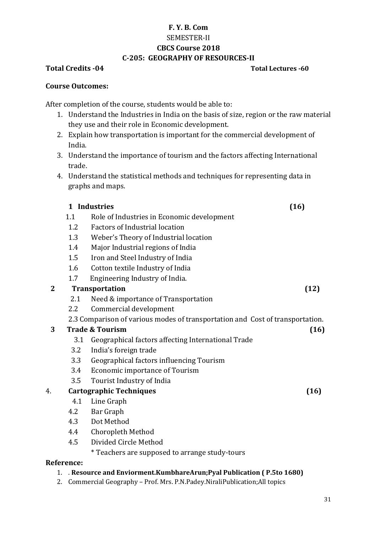# **F. Y. B. Com** SEMESTER-II **CBCS Course 2018 C-205: GEOGRAPHY OF RESOURCES-II**

# **Total Credits -04 Total Lectures -60**

# **Course Outcomes:**

After completion of the course, students would be able to:

- 1. Understand the Industries in India on the basis of size, region or the raw material they use and their role in Economic development.
- 2. Explain how transportation is important for the commercial development of India.
- 3. Understand the importance of tourism and the factors affecting International trade.
- 4. Understand the statistical methods and techniques for representing data in graphs and maps.

# **1 Industries (16)**

- 1.1 Role of Industries in Economic development
- 1.2 Factors of Industrial location
- 1.3 Weber's Theory of Industrial location
- 1.4 Major Industrial regions of India
- 1.5 Iron and Steel Industry of India
- 1.6 Cotton textile Industry of India
- 1.7 Engineering Industry of India.

# **2 Transportation (12)**

- 2.1 Need & importance of Transportation
- 2.2 Commercial development

2.3 Comparison of various modes of transportation and Cost of transportation.

# **3 Trade & Tourism (16)**

- 3.1 Geographical factors affecting International Trade
- 3.2 India's foreign trade
- 3.3 Geographical factors influencing Tourism
- 3.4 Economic importance of Tourism
- 3.5 Tourist Industry of India

# 4. **Cartographic Techniques (16)**

- 4.1 Line Graph
- 4.2 Bar Graph
- 4.3 Dot Method
- 4.4 Choropleth Method
- 4.5 Divided Circle Method

\* Teachers are supposed to arrange study-tours

# **Reference:**

# 1. . **Resource and Enviorment.KumbhareArun;Pyal Publication ( P.5to 1680)**

2. Commercial Geography – Prof. Mrs. P.N.Padey.NiraliPublication;All topics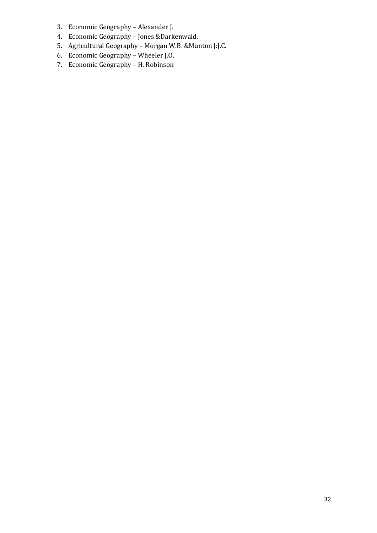- 3. Economic Geography Alexander J.
- 4. Economic Geography Jones &Darkenwald.
- 5. Agricultural Geography Morgan W.B. &Munton J:J.C.
- 6. Economic Geography Wheeler J.O.
- 7. Economic Geography H. Robinson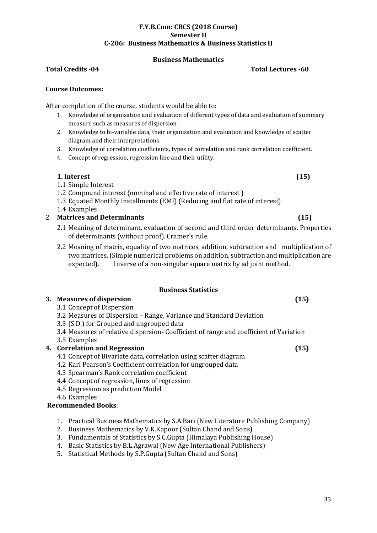### **F.Y.B.Com: CBCS (2018 Course) Semester II C-206: Business Mathematics & Business Statistics II**

# **Business Mathematics**

# **Total Credits -04 Total Lectures -60**

# **Course Outcomes:**

After completion of the course, students would be able to:

- 1. Knowledge of organisation and evaluation of different types of data and evaluation of summary measure such as measures of dispersion.
- 2. Knowledge to bi-variable data, their organisation and evaluation and knowledge of scatter diagram and their interpretations.
- 3. Knowledge of correlation coefficients, types of correlation and rank correlation coefficient.
- 4. Concept of regression, regression line and their utility.

# **1. Interest (15)**

- 1.1 Simple Interest
- 1.2 Compound interest (nominal and effective rate of interest )
- 1.3 Equated Monthly Installments (EMI) (Reducing and flat rate of interest)
- 1.4 Examples

# 2. **Matrices and Determinants (15)**

- 2.1 Meaning of determinant, evaluation of second and third order determinants. Properties of determinants (without proof). Cramer's rule.
- 2.2 Meaning of matrix, equality of two matrices, addition, subtraction and multiplication of two matrices. (Simple numerical problems on addition, subtraction and multiplication are expected). Inverse of a non-singular square matrix by ad joint method.

# **Business Statistics**

# **3. Measures of dispersion (15)**

- 3.1 Concept of Dispersion
- 3.2 Measures of Dispersion Range, Variance and Standard Deviation
- 3.3 (S.D.) for Grouped and ungrouped data
- 3.4 Measures of relative dispersion- Coefficient of range and coefficient of Variation
- 3.5 Examples

# **4. Correlation and Regression (15)**

- 4.1 Concept of Bivariate data, correlation using scatter diagram
- 4.2 Karl Pearson's Coefficient correlation for ungrouped data
- 4.3 Spearman's Rank correlation coefficient
- 4.4 Concept of regression, lines of regression
- 4.5 Regression as prediction Model
- 4.6 Examples

# **Recommended Books**:

- 1. Practical Business Mathematics by S.A.Bari (New Literature Publishing Company)
- 2. Business Mathematics by V.K.Kapoor (Sultan Chand and Sons)
- 3. Fundamentals of Statistics by S.C.Gupta (Himalaya Publishing House)
- 4. Basic Statistics by B.L.Agrawal (New Age International Publishers)
- 5. Statistical Methods by S.P.Gupta (Sultan Chand and Sons)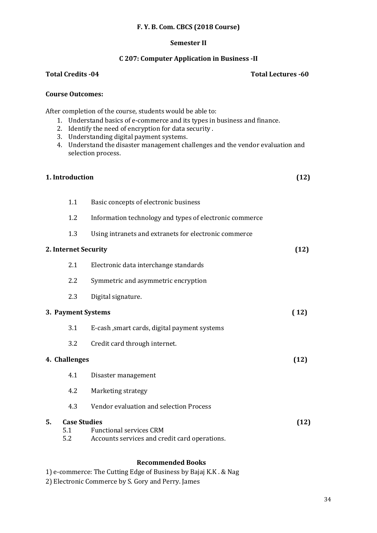### **F. Y. B. Com. CBCS (2018 Course)**

### **Semester II**

### **C 207: Computer Application in Business -II**

### **Total Credits -04 Total Lectures -60**

### **Course Outcomes:**

After completion of the course, students would be able to:

- 1. Understand basics of e-commerce and its types in business and finance.
- 2. Identify the need of encryption for data security .
- 3. Understanding digital payment systems.
- 4. Understand the disaster management challenges and the vendor evaluation and selection process.

### **1. Introduction (12)**

- 1.1 Basic concepts of electronic business 1.2 Information technology and types of electronic commerce
- 1.3 Using intranets and extranets for electronic commerce

# **2. Internet Security (12)** 2.1 Electronic data interchange standards 2.2 Symmetric and asymmetric encryption 2.3 Digital signature. **3. Payment Systems ( 12)** 3.1 E-cash ,smart cards, digital payment systems 3.2 Credit card through internet. **4. Challenges (12)** 4.1 Disaster management 4.2 Marketing strategy 4.3 Vendor evaluation and selection Process

**5. Case Studies (12)**  5.1 Functional services CRM 5.2 Accounts services and credit card operations.

# **Recommended Books**

1) e-commerce: The Cutting Edge of Business by Bajaj K.K . & Nag

2) Electronic Commerce by S. Gory and Perry. James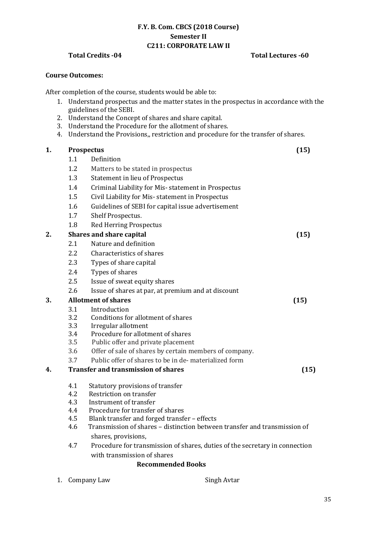# **F.Y. B. Com. CBCS (2018 Course) Semester II C211: CORPORATE LAW II**

# **Total Credits -04 Total Lectures -60**

### **Course Outcomes:**

After completion of the course, students would be able to:

- 1. Understand prospectus and the matter states in the prospectus in accordance with the guidelines of the SEBI.
- 2. Understand the Concept of shares and share capital.
- 3. Understand the Procedure for the allotment of shares.
- 4. Understand the Provisions,, restriction and procedure for the transfer of shares.

| 1.               |                                            | <b>Prospectus</b>                                                                                | (15) |
|------------------|--------------------------------------------|--------------------------------------------------------------------------------------------------|------|
|                  | 1.1                                        | Definition                                                                                       |      |
|                  | 1.2                                        | Matters to be stated in prospectus                                                               |      |
|                  | 1.3                                        | <b>Statement in lieu of Prospectus</b>                                                           |      |
|                  | 1.4                                        | Criminal Liability for Mis-statement in Prospectus                                               |      |
|                  | 1.5                                        | Civil Liability for Mis- statement in Prospectus                                                 |      |
|                  | 1.6                                        | Guidelines of SEBI for capital issue advertisement                                               |      |
|                  | 1.7                                        | Shelf Prospectus.                                                                                |      |
|                  | 1.8                                        | <b>Red Herring Prospectus</b>                                                                    |      |
| $\overline{2}$ . |                                            | <b>Shares and share capital</b>                                                                  | (15) |
|                  | 2.1                                        | Nature and definition                                                                            |      |
|                  | 2.2                                        | Characteristics of shares                                                                        |      |
|                  | 2.3                                        | Types of share capital                                                                           |      |
|                  | 2.4                                        | Types of shares                                                                                  |      |
|                  | 2.5                                        | Issue of sweat equity shares                                                                     |      |
|                  | 2.6                                        | Issue of shares at par, at premium and at discount                                               |      |
| 3.               |                                            | <b>Allotment of shares</b>                                                                       | (15) |
|                  | 3.1                                        | Introduction                                                                                     |      |
|                  | 3.2                                        | Conditions for allotment of shares                                                               |      |
|                  | 3.3                                        | Irregular allotment                                                                              |      |
|                  | 3.4                                        | Procedure for allotment of shares                                                                |      |
|                  | 3.5                                        | Public offer and private placement                                                               |      |
|                  | 3.6                                        | Offer of sale of shares by certain members of company.                                           |      |
|                  | 3.7                                        | Public offer of shares to be in de-materialized form                                             |      |
| 4.               | <b>Transfer and transmission of shares</b> |                                                                                                  | (15) |
|                  | 4.1                                        | Statutory provisions of transfer                                                                 |      |
|                  | 4.2                                        | Restriction on transfer                                                                          |      |
|                  | 4.3                                        | Instrument of transfer                                                                           |      |
|                  | 4.4                                        | Procedure for transfer of shares                                                                 |      |
|                  | 4.5                                        | Blank transfer and forged transfer - effects                                                     |      |
|                  | 4.6                                        | Transmission of shares - distinction between transfer and transmission of<br>shares, provisions, |      |
|                  |                                            | $\mathbf{r}$ and $\mathbf{r}$ and $\mathbf{r}$<br>$\mathbf{r} = \mathbf{r} \cdot \mathbf{r}$     |      |

4.7 Procedure for transmission of shares, duties of the secretary in connection with transmission of shares

# **Recommended Books**

1. Company Law Singh Avtar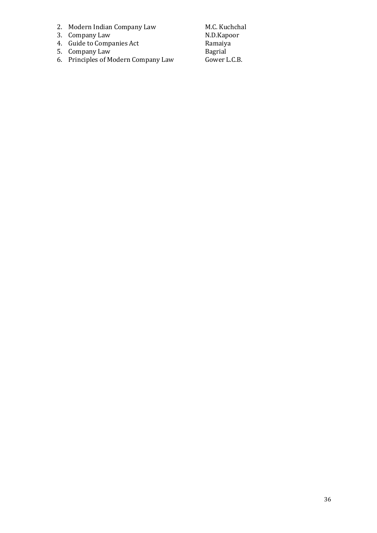- 2. Modern Indian Company Law M.C. Kuchchal
- 3. Company Law N.D.Kapoor
- 4. Guide to Companies Act **Ramaiya**
- 5. Company Law Bagrial
- 6. Principles of Modern Company Law Gower L.C.B.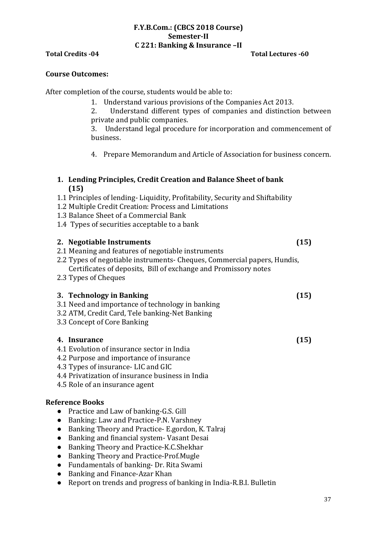# **F.Y.B.Com.: (CBCS 2018 Course) Semester-II C 221: Banking & Insurance –II**

# **Total Credits -04 Total Lectures -60**

# **Course Outcomes:**

After completion of the course, students would be able to:

- 1. Understand various provisions of the Companies Act 2013.
- 2. Understand different types of companies and distinction between private and public companies.

3. Understand legal procedure for incorporation and commencement of business.

4. Prepare Memorandum and Article of Association for business concern.

# **1. Lending Principles, Credit Creation and Balance Sheet of bank (15)**

- 1.1 Principles of lending- Liquidity, Profitability, Security and Shiftability
- 1.2 Multiple Credit Creation: Process and Limitations
- 1.3 Balance Sheet of a Commercial Bank
- 1.4 Types of securities acceptable to a bank

# **2. Negotiable Instruments (15)**

- 2.1 Meaning and features of negotiable instruments
- 2.2 Types of negotiable instruments- Cheques, Commercial papers, Hundis, Certificates of deposits, Bill of exchange and Promissory notes
- 2.3 Types of Cheques

# **3. Technology in Banking (15)**

- 3.1 Need and importance of technology in banking
- 3.2 ATM, Credit Card, Tele banking-Net Banking
- 3.3 Concept of Core Banking

# **4. Insurance (15)**

- 4.1 Evolution of insurance sector in India
- 4.2 Purpose and importance of insurance
- 4.3 Types of insurance- LIC and GIC
- 4.4 Privatization of insurance business in India
- 4.5 Role of an insurance agent

# **Reference Books**

- Practice and Law of banking-G.S. Gill
- Banking: Law and Practice-P.N. Varshney
- Banking Theory and Practice- E.gordon, K. Talraj
- Banking and financial system- Vasant Desai
- Banking Theory and Practice-K.C.Shekhar
- Banking Theory and Practice-Prof.Mugle
- Fundamentals of banking- Dr. Rita Swami
- Banking and Finance-Azar Khan
- Report on trends and progress of banking in India-R.B.I. Bulletin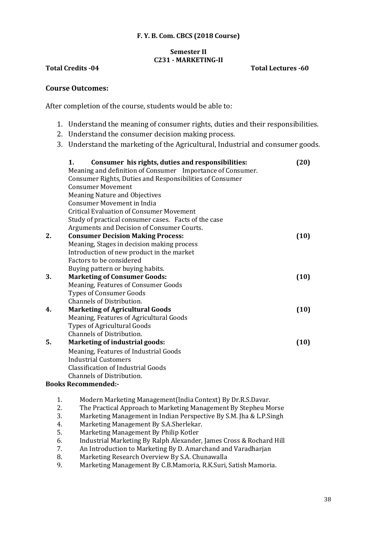# **F. Y. B. Com. CBCS (2018 Course)**

# **Semester II C231 - MARKETING-II**

# **Total Credits -04 Total Lectures -60**

# **Course Outcomes:**

After completion of the course, students would be able to:

- 1. Understand the meaning of consumer rights, duties and their responsibilities.
- 2. Understand the consumer decision making process.
- 3. Understand the marketing of the Agricultural, Industrial and consumer goods.

|    | Consumer his rights, duties and responsibilities:<br>1.    | (20) |  |
|----|------------------------------------------------------------|------|--|
|    | Meaning and definition of Consumer Importance of Consumer. |      |  |
|    | Consumer Rights, Duties and Responsibilities of Consumer   |      |  |
|    | <b>Consumer Movement</b>                                   |      |  |
|    | <b>Meaning Nature and Objectives</b>                       |      |  |
|    | <b>Consumer Movement in India</b>                          |      |  |
|    | <b>Critical Evaluation of Consumer Movement</b>            |      |  |
|    | Study of practical consumer cases. Facts of the case       |      |  |
|    | Arguments and Decision of Consumer Courts.                 |      |  |
| 2. | <b>Consumer Decision Making Process:</b>                   |      |  |
|    | Meaning, Stages in decision making process                 |      |  |
|    | Introduction of new product in the market                  |      |  |
|    | Factors to be considered                                   |      |  |
|    | Buying pattern or buying habits.                           |      |  |
| 3. | <b>Marketing of Consumer Goods:</b>                        |      |  |
|    | Meaning, Features of Consumer Goods                        |      |  |
|    | <b>Types of Consumer Goods</b>                             |      |  |
|    | Channels of Distribution.                                  |      |  |
| 4. | <b>Marketing of Agricultural Goods</b>                     |      |  |
|    | Meaning, Features of Agricultural Goods                    |      |  |
|    | <b>Types of Agricultural Goods</b>                         |      |  |
|    | Channels of Distribution.                                  |      |  |
| 5. | <b>Marketing of industrial goods:</b>                      | (10) |  |
|    | Meaning, Features of Industrial Goods                      |      |  |
|    | <b>Industrial Customers</b>                                |      |  |
|    | <b>Classification of Industrial Goods</b>                  |      |  |
|    | Channels of Distribution.                                  |      |  |
|    | <b>Books Recommended:-</b>                                 |      |  |
|    |                                                            |      |  |

- 1. Modern Marketing Management(India Context) By Dr.R.S.Davar.
- 2. The Practical Approach to Marketing Management By Stepheu Morse
- 3. Marketing Management in Indian Perspective By S.M. Jha & L.P.Singh
- 4. Marketing Management By S.A.Sherlekar.
- 5. Marketing Management By Philip Kotler
- 6. Industrial Marketing By Ralph Alexander, James Cross & Rochard Hill
- 7. An Introduction to Marketing By D. Amarchand and Varadharjan
- 8. Marketing Research Overview By S.A. Chunawalla
- 9. Marketing Management By C.B.Mamoria, R.K.Suri, Satish Mamoria.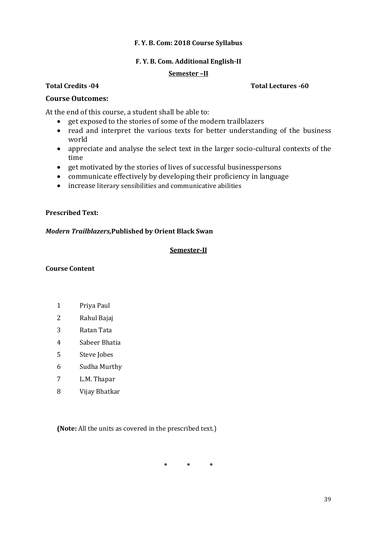# **F. Y. B. Com: 2018 Course Syllabus**

# **F. Y. B. Com. Additional English-II**

# **Semester –II**

# **Course Outcomes:**

At the end of this course, a student shall be able to:

- get exposed to the stories of some of the modern trailblazers
- read and interpret the various texts for better understanding of the business world
- appreciate and analyse the select text in the larger socio-cultural contexts of the time
- get motivated by the stories of lives of successful businesspersons
- communicate effectively by developing their proficiency in language
- increase literary sensibilities and communicative abilities

# **Prescribed Text:**

# *Modern Trailblazers,***Published by Orient Black Swan**

# **Semester-II**

# **Course Content**

- 1 Priya Paul
- 2 Rahul Bajaj
- 3 Ratan Tata
- 4 Sabeer Bhatia
- 5 Steve Jobes
- 6 Sudha Murthy
- 7 L.M. Thapar
- 8 Vijay Bhatkar

**(Note:** All the units as covered in the prescribed text.)

**\* \* \***

# **Total Credits -04 Total Lectures -60**